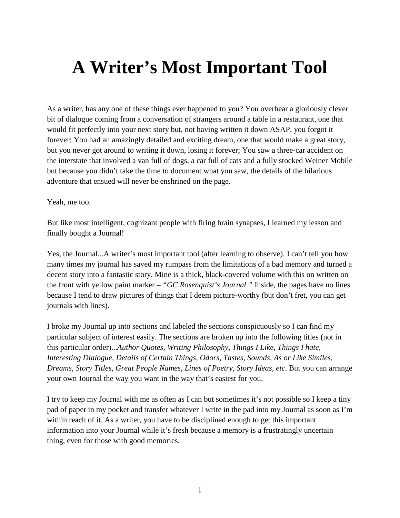## **A Writer's Most Important Tool**

As a writer, has any one of these things ever happened to you? You overhear a gloriously clever bit of dialogue coming from a conversation of strangers around a table in a restaurant, one that would fit perfectly into your next story but, not having written it down ASAP, you forgot it forever; You had an amazingly detailed and exciting dream, one that would make a great story, but you never got around to writing it down, losing it forever; You saw a three-car accident on the interstate that involved a van full of dogs, a car full of cats and a fully stocked Weiner Mobile but because you didn't take the time to document what you saw, the details of the hilarious adventure that ensued will never be enshrined on the page.

Yeah, me too.

But like most intelligent, cognizant people with firing brain synapses, I learned my lesson and finally bought a Journal!

Yes, the Journal...A writer's most important tool (after learning to observe). I can't tell you how many times my journal has saved my rumpass from the limitations of a bad memory and turned a decent story into a fantastic story. Mine is a thick, black-covered volume with this on written on the front with yellow paint marker – *"GC Rosenquist's Journal."* Inside, the pages have no lines because I tend to draw pictures of things that I deem picture-worthy (but don't fret, you can get journals with lines).

I broke my Journal up into sections and labeled the sections conspicuously so I can find my particular subject of interest easily. The sections are broken up into the following titles (not in this particular order)...*Author Quotes, Writing Philosophy, Things I Like, Things I hate, Interesting Dialogue, Details of Certain Things, Odors, Tastes, Sounds, As or Like Similes, Dreams, Story Titles, Great People Names, Lines of Poetry, Story Ideas, etc*. But you can arrange your own Journal the way you want in the way that's easiest for you.

I try to keep my Journal with me as often as I can but sometimes it's not possible so I keep a tiny pad of paper in my pocket and transfer whatever I write in the pad into my Journal as soon as I'm within reach of it. As a writer, you have to be disciplined enough to get this important information into your Journal while it's fresh because a memory is a frustratingly uncertain thing, even for those with good memories.